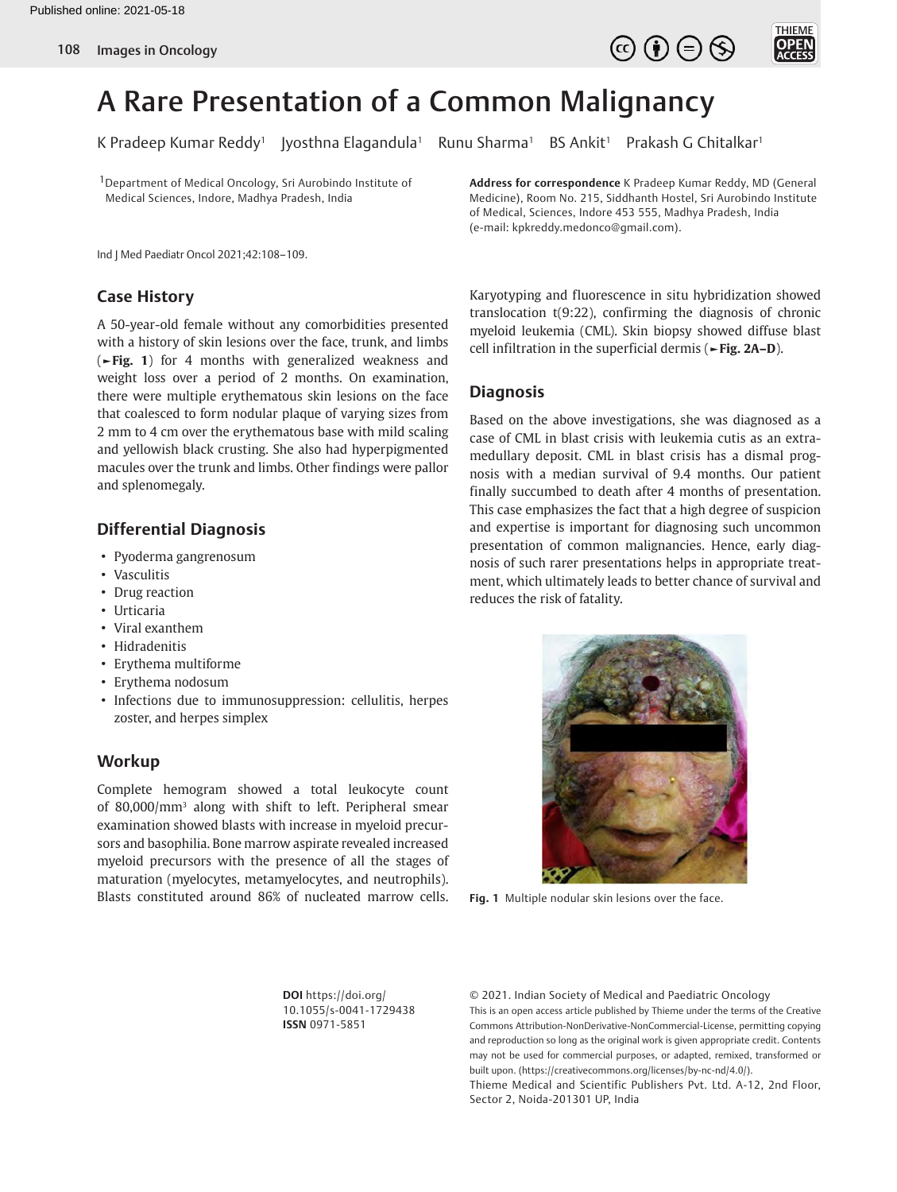



# A Rare Presentation of a Common Malignancy

K Pradeep Kumar Reddy<sup>1</sup> Jyosthna Elagandula<sup>1</sup> Runu Sharma<sup>1</sup> BS Ankit<sup>1</sup> Prakash G Chitalkar<sup>1</sup>

1Department of Medical Oncology, Sri Aurobindo Institute of Medical Sciences, Indore, Madhya Pradesh, India

Ind J Med Paediatr Oncol 2021;42:108–109.

## **Case History**

A 50-year-old female without any comorbidities presented with a history of skin lesions over the face, trunk, and limbs (**►Fig. 1**) for 4 months with generalized weakness and weight loss over a period of 2 months. On examination, there were multiple erythematous skin lesions on the face that coalesced to form nodular plaque of varying sizes from 2 mm to 4 cm over the erythematous base with mild scaling and yellowish black crusting. She also had hyperpigmented macules over the trunk and limbs. Other findings were pallor and splenomegaly.

## **Differential Diagnosis**

- Pyoderma gangrenosum
- Vasculitis
- Drug reaction
- Urticaria
- Viral exanthem
- Hidradenitis
- Erythema multiforme
- Erythema nodosum
- Infections due to immunosuppression: cellulitis, herpes zoster, and herpes simplex

#### **Workup**

Complete hemogram showed a total leukocyte count of 80,000/mm3 along with shift to left. Peripheral smear examination showed blasts with increase in myeloid precursors and basophilia. Bone marrow aspirate revealed increased myeloid precursors with the presence of all the stages of maturation (myelocytes, metamyelocytes, and neutrophils). Blasts constituted around 86% of nucleated marrow cells. **Address for correspondence** K Pradeep Kumar Reddy, MD (General Medicine), Room No. 215, Siddhanth Hostel, Sri Aurobindo Institute of Medical, Sciences, Indore 453 555, Madhya Pradesh, India (e-mail: kpkreddy.medonco@gmail.com).

Karyotyping and fluorescence in situ hybridization showed translocation t(9:22), confirming the diagnosis of chronic myeloid leukemia (CML). Skin biopsy showed diffuse blast cell infiltration in the superficial dermis (**►Fig. 2A–D**).

## **Diagnosis**

Based on the above investigations, she was diagnosed as a case of CML in blast crisis with leukemia cutis as an extramedullary deposit. CML in blast crisis has a dismal prognosis with a median survival of 9.4 months. Our patient finally succumbed to death after 4 months of presentation. This case emphasizes the fact that a high degree of suspicion and expertise is important for diagnosing such uncommon presentation of common malignancies. Hence, early diagnosis of such rarer presentations helps in appropriate treatment, which ultimately leads to better chance of survival and reduces the risk of fatality.



**Fig. 1** Multiple nodular skin lesions over the face.

**DOI** https://doi.org/ 10.1055/s-0041-1729438 **ISSN** 0971-5851

© 2021. Indian Society of Medical and Paediatric Oncology This is an open access article published by Thieme under the terms of the Creative Commons Attribution-NonDerivative-NonCommercial-License, permitting copying and reproduction so long as the original work is given appropriate credit. Contents may not be used for commercial purposes, or adapted, remixed, transformed or built upon. (https://creativecommons.org/licenses/by-nc-nd/4.0/). Thieme Medical and Scientific Publishers Pvt. Ltd. A-12, 2nd Floor,

Sector 2, Noida-201301 UP, India